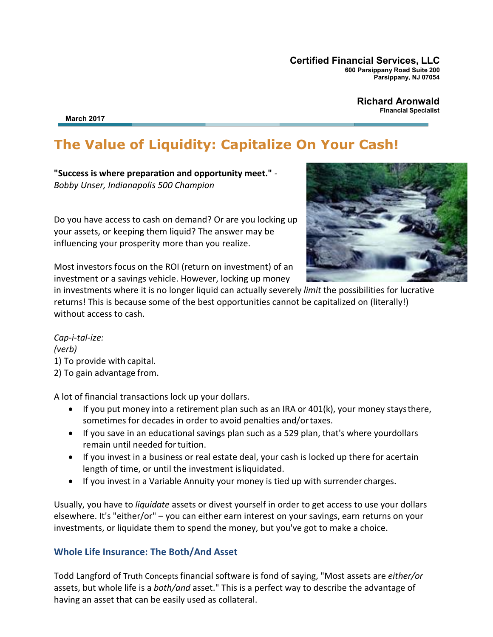**Certified Financial Services, LLC 600 Parsippany Road Suite 200 Parsippany, NJ 07054**

> **Richard Aronwald Financial Specialist**

**March 2017**

# **The Value of Liquidity: Capitalize On Your Cash!**

**"Success is where preparation and opportunity meet."** *- Bobby Unser, Indianapolis 500 Champion*

Do you have access to cash on demand? Or are you locking up your assets, or keeping them liquid? The answer may be influencing your prosperity more than you realize.



Most investors focus on the ROI (return on investment) of an investment or a savings vehicle. However, locking up money

in investments where it is no longer liquid can actually severely *limit* the possibilities for lucrative returns! This is because some of the best opportunities cannot be capitalized on (literally!) without access to cash.

*Cap-i-tal-ize: (verb)* 1) To provide with capital. 2) To gain advantage from.

A lot of financial transactions lock up your dollars.

- If you put money into a retirement plan such as an IRA or 401(k), your money staysthere, sometimes for decades in order to avoid penalties and/ortaxes.
- If you save in an educational savings plan such as a 529 plan, that's where yourdollars remain until needed fortuition.
- If you invest in a business or real estate deal, your cash is locked up there for acertain length of time, or until the investment isliquidated.
- If you invest in a Variable Annuity your money is tied up with surrender charges.

Usually, you have to *liquidate* assets or divest yourself in order to get access to use your dollars elsewhere. It's "either/or" – you can either earn interest on your savings, earn returns on your investments, or liquidate them to spend the money, but you've got to make a choice.

#### **Whole Life Insurance: The Both/And Asset**

Todd Langford of Truth Concepts financial software is fond of saying, "Most assets are *either/or*  assets, but whole life is a *both/and* asset." This is a perfect way to describe the advantage of having an asset that can be easily used as collateral.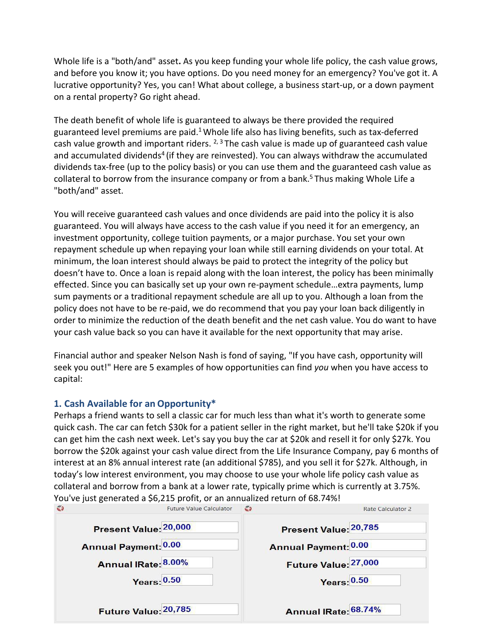Whole life is a "both/and" asset**.** As you keep funding your whole life policy, the cash value grows, and before you know it; you have options. Do you need money for an emergency? You've got it. A lucrative opportunity? Yes, you can! What about college, a business start-up, or a down payment on a rental property? Go right ahead.

The death benefit of whole life is guaranteed to always be there provided the required guaranteed level premiums are paid.<sup>1</sup> Whole life also has living benefits, such as tax-deferred cash value growth and important riders.  $2, 3$  The cash value is made up of guaranteed cash value and accumulated dividends<sup>4</sup> (if they are reinvested). You can always withdraw the accumulated dividends tax-free (up to the policy basis) or you can use them and the guaranteed cash value as collateral to borrow from the insurance company or from a bank.<sup>5</sup> Thus making Whole Life a "both/and" asset.

You will receive guaranteed cash values and once dividends are paid into the policy it is also guaranteed. You will always have access to the cash value if you need it for an emergency, an investment opportunity, college tuition payments, or a major purchase. You set your own repayment schedule up when repaying your loan while still earning dividends on your total. At minimum, the loan interest should always be paid to protect the integrity of the policy but doesn't have to. Once a loan is repaid along with the loan interest, the policy has been minimally effected. Since you can basically set up your own re-payment schedule…extra payments, lump sum payments or a traditional repayment schedule are all up to you. Although a loan from the policy does not have to be re-paid, we do recommend that you pay your loan back diligently in order to minimize the reduction of the death benefit and the net cash value. You do want to have your cash value back so you can have it available for the next opportunity that may arise.

Financial author and speaker Nelson Nash is fond of saying, "If you have cash, opportunity will seek you out!" Here are 5 examples of how opportunities can find *you* when you have access to capital:

#### **1. Cash Available for an Opportunity\***

Perhaps a friend wants to sell a classic car for much less than what it's worth to generate some quick cash. The car can fetch \$30k for a patient seller in the right market, but he'll take \$20k if you can get him the cash next week. Let's say you buy the car at \$20k and resell it for only \$27k. You borrow the \$20k against your cash value direct from the Life Insurance Company, pay 6 months of interest at an 8% annual interest rate (an additional \$785), and you sell it for \$27k. Although, in today's low interest environment, you may choose to use your whole life policy cash value as collateral and borrow from a bank at a lower rate, typically prime which is currently at 3.75%. You've just generated a \$6,215 profit, or an annualized return of 68.74%!

| <b>Future Value Calculator</b> | G<br>Rate Calculator 2      |
|--------------------------------|-----------------------------|
| Present Value: 20,000          | Present Value: 20,785       |
| <b>Annual Payment: 0.00</b>    | <b>Annual Payment: 0.00</b> |
| Annual IRate: 8.00%            | Future Value: 27,000        |
| <b>Years: 0.50</b>             | Years: 0.50                 |
|                                |                             |
| Future Value: 20,785           | Annual IRate 68.74%         |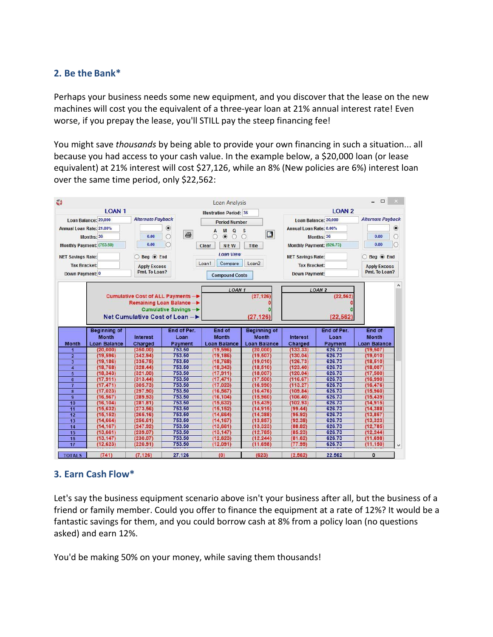## **2. Be the Bank\***

Perhaps your business needs some new equipment, and you discover that the lease on the new machines will cost you the equivalent of a three-year loan at 21% annual interest rate! Even worse, if you prepay the lease, you'll STILL pay the steep financing fee!

You might save *thousands* by being able to provide your own financing in such a situation... all because you had access to your cash value. In the example below, a \$20,000 loan (or lease equivalent) at 21% interest will cost \$27,126, while an 8% (New policies are 6%) interest loan over the same time period, only \$22,562:



## **3. Earn Cash Flow\***

Let's say the business equipment scenario above isn't your business after all, but the business of a friend or family member. Could you offer to finance the equipment at a rate of 12%? It would be a fantastic savings for them, and you could borrow cash at 8% from a policy loan (no questions asked) and earn 12%.

You'd be making 50% on your money, while saving them thousands!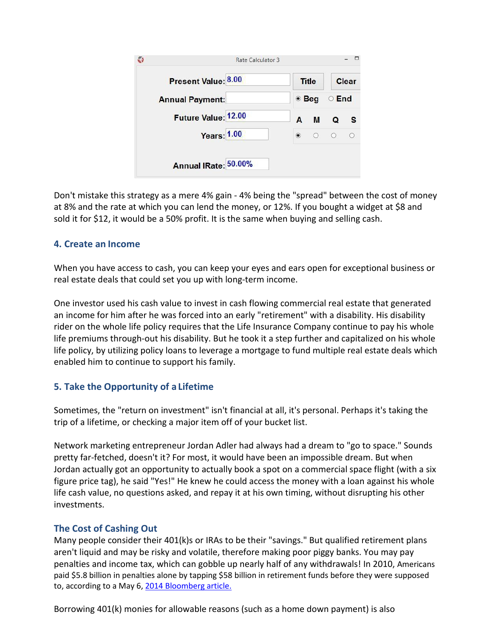| Rate Calculator 3      |                                   |  |  |
|------------------------|-----------------------------------|--|--|
| Present Value: 8.00    | <b>Title</b><br>Clear             |  |  |
| <b>Annual Payment:</b> | $\bullet$ Beg<br>$\circ$ End      |  |  |
| Future Value: 12.00    | M<br>A<br>$\Omega$                |  |  |
| <b>Years: 1.00</b>     | $\circledcirc$<br>$\circ$ $\circ$ |  |  |
| Annual IRate: 50.00%   |                                   |  |  |

Don't mistake this strategy as a mere 4% gain - 4% being the "spread" between the cost of money at 8% and the rate at which you can lend the money, or 12%. If you bought a widget at \$8 and sold it for \$12, it would be a 50% profit. It is the same when buying and selling cash.

## **4. Create an Income**

When you have access to cash, you can keep your eyes and ears open for exceptional business or real estate deals that could set you up with long-term income.

One investor used his cash value to invest in cash flowing commercial real estate that generated an income for him after he was forced into an early "retirement" with a disability. His disability rider on the whole life policy requires that the Life Insurance Company continue to pay his whole life premiums through-out his disability. But he took it a step further and capitalized on his whole life policy, by utilizing policy loans to leverage a mortgage to fund multiple real estate deals which enabled him to continue to support his family.

## **5. Take the Opportunity of a Lifetime**

Sometimes, the "return on investment" isn't financial at all, it's personal. Perhaps it's taking the trip of a lifetime, or checking a major item off of your bucket list.

Network marketing entrepreneur Jordan Adler had always had a dream to "go to space." Sounds pretty far-fetched, doesn't it? For most, it would have been an impossible dream. But when Jordan actually got an opportunity to actually book a spot on a commercial space flight (with a six figure price tag), he said "Yes!" He knew he could access the money with a loan against his whole life cash value, no questions asked, and repay it at his own timing, without disrupting his other investments.

## **The Cost of Cashing Out**

Many people consider their 401(k)s or IRAs to be their "savings." But qualified retirement plans aren't liquid and may be risky and volatile, therefore making poor piggy banks. You may pay penalties and income tax, which can gobble up nearly half of any withdrawals! In 2010, Americans paid \$5.8 billion in penalties alone by tapping \$58 billion in retirement funds before they were supposed to, according to a May 6, [2014 Bloomberg article.](http://www.bloomberg.com/news/2014-05-06/early-tap-of-401-k-replaces-homes-as-american-piggy-bank.html)

Borrowing 401(k) monies for allowable reasons (such as a home down payment) is also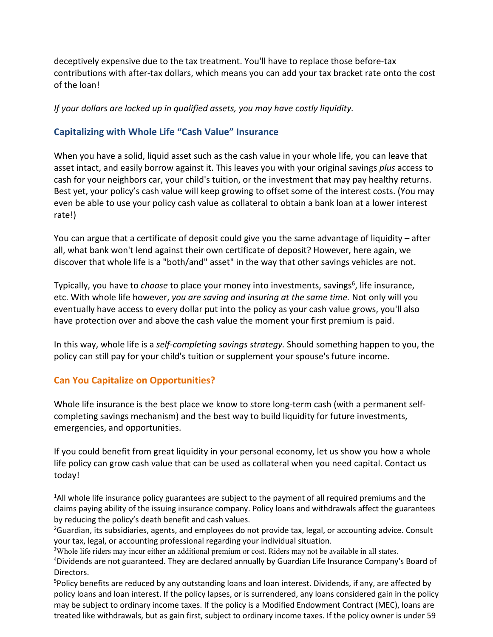deceptively expensive due to the tax treatment. You'll have to replace those before-tax contributions with after-tax dollars, which means you can add your tax bracket rate onto the cost of the loan!

*If your dollars are locked up in qualified assets, you may have costly liquidity.*

#### **Capitalizing with Whole Life "Cash Value" Insurance**

When you have a solid, liquid asset such as the cash value in your whole life, you can leave that asset intact, and easily borrow against it. This leaves you with your original savings *plus* access to cash for your neighbors car, your child's tuition, or the investment that may pay healthy returns. Best yet, your policy's cash value will keep growing to offset some of the interest costs. (You may even be able to use your policy cash value as collateral to obtain a bank loan at a lower interest rate!)

You can argue that a certificate of deposit could give you the same advantage of liquidity – after all, what bank won't lend against their own certificate of deposit? However, here again, we discover that whole life is a "both/and" asset" in the way that other savings vehicles are not.

Typically, you have to *choose* to place your money into investments, savings<sup>6</sup>, life insurance, etc. With whole life however, *you are saving and insuring at the same time.* Not only will you eventually have access to every dollar put into the policy as your cash value grows, you'll also have protection over and above the cash value the moment your first premium is paid.

In this way, whole life is a *self-completing savings strategy.* Should something happen to you, the policy can still pay for your child's tuition or supplement your spouse's future income.

## **Can You Capitalize on Opportunities?**

Whole life insurance is the best place we know to store long-term cash (with a permanent selfcompleting savings mechanism) and the best way to build liquidity for future investments, emergencies, and opportunities.

If you could benefit from great liquidity in your personal economy, let us show you how a whole life policy can grow cash value that can be used as collateral when you need capital. Contact us today!

<sup>1</sup>All whole life insurance policy guarantees are subject to the payment of all required premiums and the claims paying ability of the issuing insurance company. Policy loans and withdrawals affect the guarantees by reducing the policy's death benefit and cash values.

<sup>2</sup>Guardian, its subsidiaries, agents, and employees do not provide tax, legal, or accounting advice. Consult your tax, legal, or accounting professional regarding your individual situation.

<sup>3</sup>Whole life riders may incur either an additional premium or cost. Riders may not be available in all states.

<sup>4</sup>Dividends are not guaranteed. They are declared annually by Guardian Life Insurance Company's Board of Directors.

<sup>5</sup>Policy benefits are reduced by any outstanding loans and loan interest. Dividends, if any, are affected by policy loans and loan interest. If the policy lapses, or is surrendered, any loans considered gain in the policy may be subject to ordinary income taxes. If the policy is a Modified Endowment Contract (MEC), loans are treated like withdrawals, but as gain first, subject to ordinary income taxes. If the policy owner is under 59